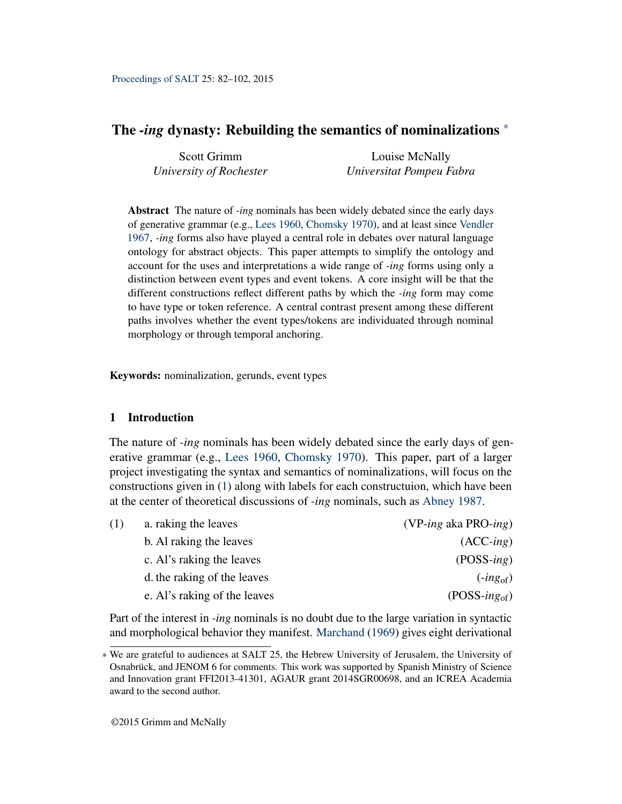# <span id="page-0-4"></span>The *-ing* dynasty: Rebuilding the semantics of nominalizations <sup>∗</sup>

| Scott Grimm             | Louise McNally           |
|-------------------------|--------------------------|
| University of Rochester | Universitat Pompeu Fabra |

Abstract The nature of *-ing* nominals has been widely debated since the early days of generative grammar (e.g., [Lees](#page-19-0) [1960,](#page-19-0) [Chomsky](#page-18-0) [1970\)](#page-18-0), and at least since [Vendler](#page-20-0) [1967,](#page-20-0) *-ing* forms also have played a central role in debates over natural language ontology for abstract objects. This paper attempts to simplify the ontology and account for the uses and interpretations a wide range of *-ing* forms using only a distinction between event types and event tokens. A core insight will be that the different constructions reflect different paths by which the *-ing* form may come to have type or token reference. A central contrast present among these different paths involves whether the event types/tokens are individuated through nominal morphology or through temporal anchoring.

Keywords: nominalization, gerunds, event types

# <span id="page-0-6"></span>1 Introduction

The nature of *-ing* nominals has been widely debated since the early days of generative grammar (e.g., [Lees](#page-19-0) [1960,](#page-19-0) [Chomsky](#page-18-0) [1970\)](#page-18-0). This paper, part of a larger project investigating the syntax and semantics of nominalizations, will focus on the constructions given in [\(1\)](#page-0-0) along with labels for each constructuion, which have been at the center of theoretical discussions of *-ing* nominals, such as [Abney](#page-17-0) [1987.](#page-17-0)

<span id="page-0-5"></span><span id="page-0-3"></span><span id="page-0-0"></span>

| a. raking the leaves<br>(1)  | $(VP\text{-}ing\text{ aka PRO-}ing)$ |
|------------------------------|--------------------------------------|
| b. Al raking the leaves      | $(ACC-ing)$                          |
| c. Al's raking the leaves    | $(POSS-ing)$                         |
| d. the raking of the leaves  | $(ing_{of})$                         |
| e. Al's raking of the leaves | $(POSS-ingof)$                       |

<span id="page-0-2"></span><span id="page-0-1"></span>Part of the interest in *-ing* nominals is no doubt due to the large variation in syntactic and morphological behavior they manifest. [Marchand](#page-19-1) [\(1969\)](#page-19-1) gives eight derivational

<sup>∗</sup> We are grateful to audiences at SALT 25, the Hebrew University of Jerusalem, the University of Osnabrück, and JENOM 6 for comments. This work was supported by Spanish Ministry of Science and Innovation grant FFI2013-41301, AGAUR grant 2014SGR00698, and an ICREA Academia award to the second author.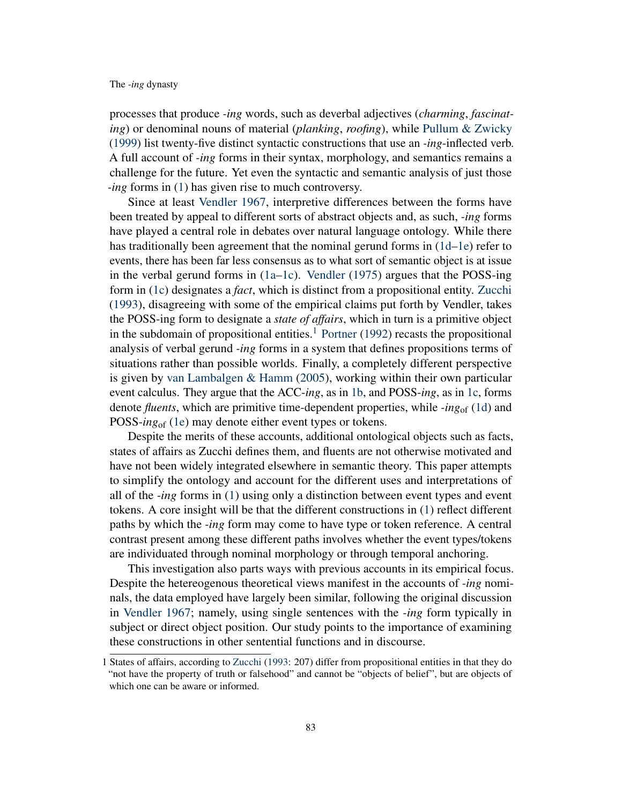processes that produce *-ing* words, such as deverbal adjectives (*charming*, *fascinating*) or denominal nouns of material (*planking*, *roofing*), while [Pullum & Zwicky](#page-19-2) [\(1999\)](#page-19-2) list twenty-five distinct syntactic constructions that use an *-ing*-inflected verb. A full account of *-ing* forms in their syntax, morphology, and semantics remains a challenge for the future. Yet even the syntactic and semantic analysis of just those *-ing* forms in [\(1\)](#page-0-0) has given rise to much controversy.

Since at least [Vendler](#page-20-0) [1967,](#page-20-0) interpretive differences between the forms have been treated by appeal to different sorts of abstract objects and, as such, *-ing* forms have played a central role in debates over natural language ontology. While there has traditionally been agreement that the nominal gerund forms in [\(1d–](#page-0-1)[1e\)](#page-0-2) refer to events, there has been far less consensus as to what sort of semantic object is at issue in the verbal gerund forms in [\(1a–](#page-0-0)[1c\)](#page-0-3). [Vendler](#page-20-1) [\(1975\)](#page-20-1) argues that the POSS-ing form in [\(1c\)](#page-0-3) designates a *fact*, which is distinct from a propositional entity. [Zucchi](#page-20-2) [\(1993\)](#page-20-2), disagreeing with some of the empirical claims put forth by Vendler, takes the POSS-ing form to designate a *state of affairs*, which in turn is a primitive object in the subdomain of propositional entities.<sup>[1](#page-0-4)</sup> [Portner](#page-19-3) [\(1992\)](#page-19-3) recasts the propositional analysis of verbal gerund *-ing* forms in a system that defines propositions terms of situations rather than possible worlds. Finally, a completely different perspective is given by [van Lambalgen & Hamm](#page-18-1) [\(2005\)](#page-18-1), working within their own particular event calculus. They argue that the ACC-*ing*, as in [1b,](#page-0-5) and POSS-*ing*, as in [1c,](#page-0-3) forms denote *fluents*, which are primitive time-dependent properties, while *-ing*of [\(1d\)](#page-0-1) and POSS-*ing*of [\(1e\)](#page-0-2) may denote either event types or tokens.

Despite the merits of these accounts, additional ontological objects such as facts, states of affairs as Zucchi defines them, and fluents are not otherwise motivated and have not been widely integrated elsewhere in semantic theory. This paper attempts to simplify the ontology and account for the different uses and interpretations of all of the *-ing* forms in [\(1\)](#page-0-0) using only a distinction between event types and event tokens. A core insight will be that the different constructions in [\(1\)](#page-0-0) reflect different paths by which the *-ing* form may come to have type or token reference. A central contrast present among these different paths involves whether the event types/tokens are individuated through nominal morphology or through temporal anchoring.

This investigation also parts ways with previous accounts in its empirical focus. Despite the hetereogenous theoretical views manifest in the accounts of *-ing* nominals, the data employed have largely been similar, following the original discussion in [Vendler](#page-20-0) [1967;](#page-20-0) namely, using single sentences with the *-ing* form typically in subject or direct object position. Our study points to the importance of examining these constructions in other sentential functions and in discourse.

<sup>1</sup> States of affairs, according to [Zucchi](#page-20-2) [\(1993:](#page-20-2) 207) differ from propositional entities in that they do "not have the property of truth or falsehood" and cannot be "objects of belief", but are objects of which one can be aware or informed.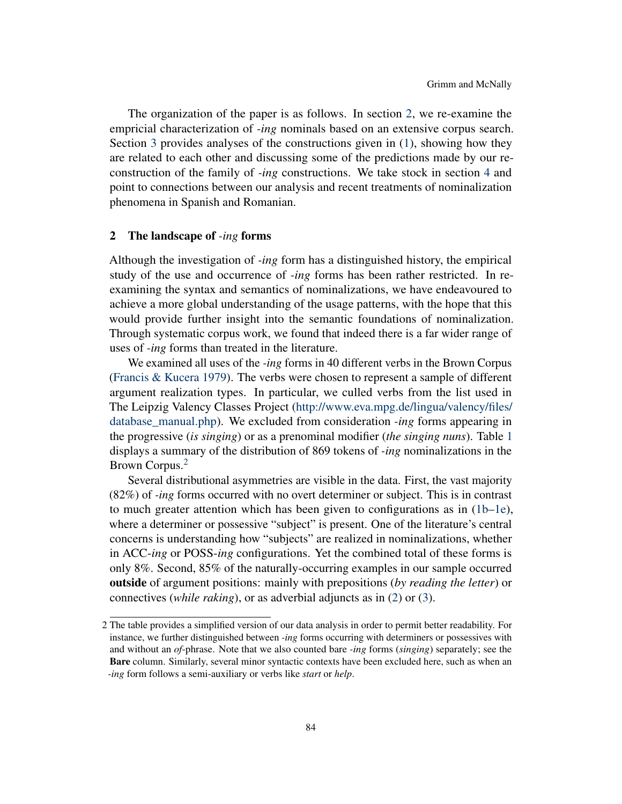The organization of the paper is as follows. In section [2,](#page-2-0) we re-examine the empricial characterization of *-ing* nominals based on an extensive corpus search. Section [3](#page-4-0) provides analyses of the constructions given in [\(1\)](#page-0-0), showing how they are related to each other and discussing some of the predictions made by our reconstruction of the family of *-ing* constructions. We take stock in section [4](#page-15-0) and point to connections between our analysis and recent treatments of nominalization phenomena in Spanish and Romanian.

### <span id="page-2-0"></span>2 The landscape of *-ing* forms

Although the investigation of *-ing* form has a distinguished history, the empirical study of the use and occurrence of *-ing* forms has been rather restricted. In reexamining the syntax and semantics of nominalizations, we have endeavoured to achieve a more global understanding of the usage patterns, with the hope that this would provide further insight into the semantic foundations of nominalization. Through systematic corpus work, we found that indeed there is a far wider range of uses of *-ing* forms than treated in the literature.

We examined all uses of the *-ing* forms in 40 different verbs in the Brown Corpus [\(Francis & Kucera](#page-18-2) [1979\)](#page-18-2). The verbs were chosen to represent a sample of different argument realization types. In particular, we culled verbs from the list used in The Leipzig Valency Classes Project [\(http://www.eva.mpg.de/lingua/valency/files/](http://www.eva.mpg.de/lingua/valency/files/database_manual.php) [database\\_manual.php\)](http://www.eva.mpg.de/lingua/valency/files/database_manual.php). We excluded from consideration *-ing* forms appearing in the progressive (*is singing*) or as a prenominal modifier (*the singing nuns*). Table [1](#page-4-1) displays a summary of the distribution of 869 tokens of *-ing* nominalizations in the Brown Corpus.<sup>[2](#page-0-4)</sup>

Several distributional asymmetries are visible in the data. First, the vast majority (82%) of *-ing* forms occurred with no overt determiner or subject. This is in contrast to much greater attention which has been given to configurations as in [\(1b–](#page-0-5)[1e\)](#page-0-2), where a determiner or possessive "subject" is present. One of the literature's central concerns is understanding how "subjects" are realized in nominalizations, whether in ACC-*ing* or POSS-*ing* configurations. Yet the combined total of these forms is only 8%. Second, 85% of the naturally-occurring examples in our sample occurred outside of argument positions: mainly with prepositions (*by reading the letter*) or connectives (*while raking*), or as adverbial adjuncts as in [\(2\)](#page-2-1) or [\(3\)](#page-3-0).

<span id="page-2-1"></span><sup>2</sup> The table provides a simplified version of our data analysis in order to permit better readability. For instance, we further distinguished between *-ing* forms occurring with determiners or possessives with and without an *of*-phrase. Note that we also counted bare *-ing* forms (*singing*) separately; see the Bare column. Similarly, several minor syntactic contexts have been excluded here, such as when an *-ing* form follows a semi-auxiliary or verbs like *start* or *help*.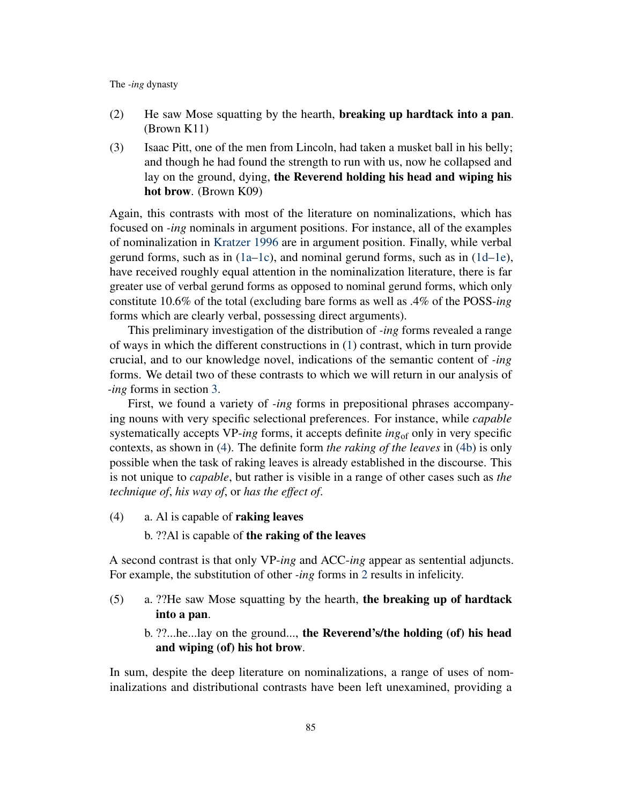- (2) He saw Mose squatting by the hearth, breaking up hardtack into a pan. (Brown K11)
- <span id="page-3-0"></span>(3) Isaac Pitt, one of the men from Lincoln, had taken a musket ball in his belly; and though he had found the strength to run with us, now he collapsed and lay on the ground, dying, the Reverend holding his head and wiping his hot brow. (Brown K09)

Again, this contrasts with most of the literature on nominalizations, which has focused on *-ing* nominals in argument positions. For instance, all of the examples of nominalization in [Kratzer](#page-18-3) [1996](#page-18-3) are in argument position. Finally, while verbal gerund forms, such as in  $(1a-1c)$  $(1a-1c)$ , and nominal gerund forms, such as in  $(1d-1e)$  $(1d-1e)$ , have received roughly equal attention in the nominalization literature, there is far greater use of verbal gerund forms as opposed to nominal gerund forms, which only constitute 10.6% of the total (excluding bare forms as well as .4% of the POSS-*ing* forms which are clearly verbal, possessing direct arguments).

This preliminary investigation of the distribution of *-ing* forms revealed a range of ways in which the different constructions in [\(1\)](#page-0-0) contrast, which in turn provide crucial, and to our knowledge novel, indications of the semantic content of *-ing* forms. We detail two of these contrasts to which we will return in our analysis of *-ing* forms in section [3.](#page-4-0)

First, we found a variety of *-ing* forms in prepositional phrases accompanying nouns with very specific selectional preferences. For instance, while *capable* systematically accepts VP-*ing* forms, it accepts definite *ing*of only in very specific contexts, as shown in [\(4\)](#page-3-1). The definite form *the raking of the leaves* in [\(4b\)](#page-3-2) is only possible when the task of raking leaves is already established in the discourse. This is not unique to *capable*, but rather is visible in a range of other cases such as *the technique of*, *his way of*, or *has the effect of*.

- <span id="page-3-2"></span><span id="page-3-1"></span>(4) a. Al is capable of raking leaves
	- b. ??Al is capable of the raking of the leaves

A second contrast is that only VP-*ing* and ACC-*ing* appear as sentential adjuncts. For example, the substitution of other *-ing* forms in [2](#page-2-1) results in infelicity.

- (5) a. ??He saw Mose squatting by the hearth, the breaking up of hardtack into a pan.
	- b. ??...he...lay on the ground..., the Reverend's/the holding (of) his head and wiping (of) his hot brow.

In sum, despite the deep literature on nominalizations, a range of uses of nominalizations and distributional contrasts have been left unexamined, providing a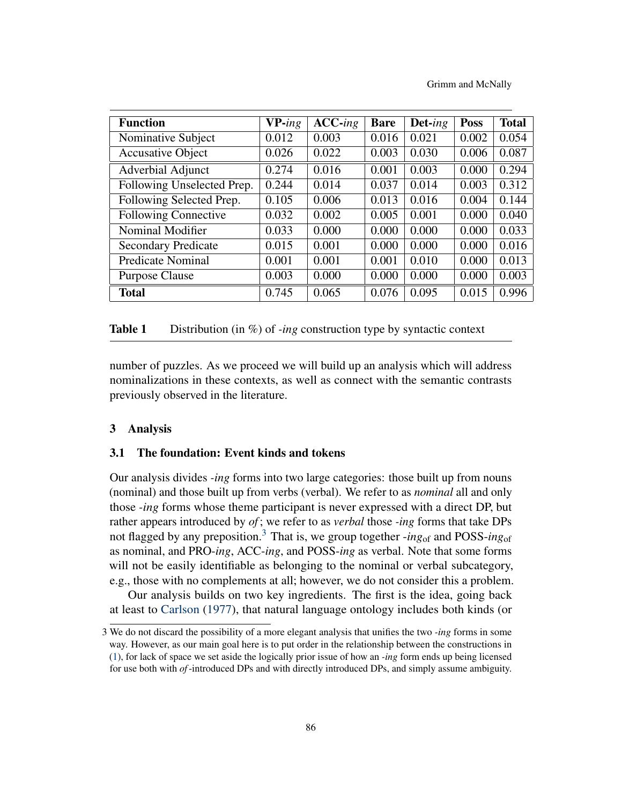Grimm and McNally

| <b>Function</b>             | $VP$ -ing | $ACC$ -ing | <b>Bare</b> | $\mathbf{Det}$ -ing | <b>Poss</b> | <b>Total</b> |
|-----------------------------|-----------|------------|-------------|---------------------|-------------|--------------|
| Nominative Subject          | 0.012     | 0.003      | 0.016       | 0.021               | 0.002       | 0.054        |
| <b>Accusative Object</b>    | 0.026     | 0.022      | 0.003       | 0.030               | 0.006       | 0.087        |
| Adverbial Adjunct           | 0.274     | 0.016      | 0.001       | 0.003               | 0.000       | 0.294        |
| Following Unselected Prep.  | 0.244     | 0.014      | 0.037       | 0.014               | 0.003       | 0.312        |
| Following Selected Prep.    | 0.105     | 0.006      | 0.013       | 0.016               | 0.004       | 0.144        |
| <b>Following Connective</b> | 0.032     | 0.002      | 0.005       | 0.001               | 0.000       | 0.040        |
| Nominal Modifier            | 0.033     | 0.000      | 0.000       | 0.000               | 0.000       | 0.033        |
| <b>Secondary Predicate</b>  | 0.015     | 0.001      | 0.000       | 0.000               | 0.000       | 0.016        |
| <b>Predicate Nominal</b>    | 0.001     | 0.001      | 0.001       | 0.010               | 0.000       | 0.013        |
| <b>Purpose Clause</b>       | 0.003     | 0.000      | 0.000       | 0.000               | 0.000       | 0.003        |
| <b>Total</b>                | 0.745     | 0.065      | 0.076       | 0.095               | 0.015       | 0.996        |

# <span id="page-4-1"></span>Table 1 Distribution (in %) of *-ing* construction type by syntactic context

number of puzzles. As we proceed we will build up an analysis which will address nominalizations in these contexts, as well as connect with the semantic contrasts previously observed in the literature.

### <span id="page-4-0"></span>3 Analysis

# 3.1 The foundation: Event kinds and tokens

Our analysis divides *-ing* forms into two large categories: those built up from nouns (nominal) and those built up from verbs (verbal). We refer to as *nominal* all and only those *-ing* forms whose theme participant is never expressed with a direct DP, but rather appears introduced by *of* ; we refer to as *verbal* those *-ing* forms that take DPs not flagged by any preposition.[3](#page-0-4) That is, we group together -*ing*of and POSS-*ing*of as nominal, and PRO-*ing*, ACC-*ing*, and POSS-*ing* as verbal. Note that some forms will not be easily identifiable as belonging to the nominal or verbal subcategory, e.g., those with no complements at all; however, we do not consider this a problem.

Our analysis builds on two key ingredients. The first is the idea, going back at least to [Carlson](#page-17-1) [\(1977\)](#page-17-1), that natural language ontology includes both kinds (or

<sup>3</sup> We do not discard the possibility of a more elegant analysis that unifies the two *-ing* forms in some way. However, as our main goal here is to put order in the relationship between the constructions in [\(1\)](#page-0-0), for lack of space we set aside the logically prior issue of how an *-ing* form ends up being licensed for use both with *of*-introduced DPs and with directly introduced DPs, and simply assume ambiguity.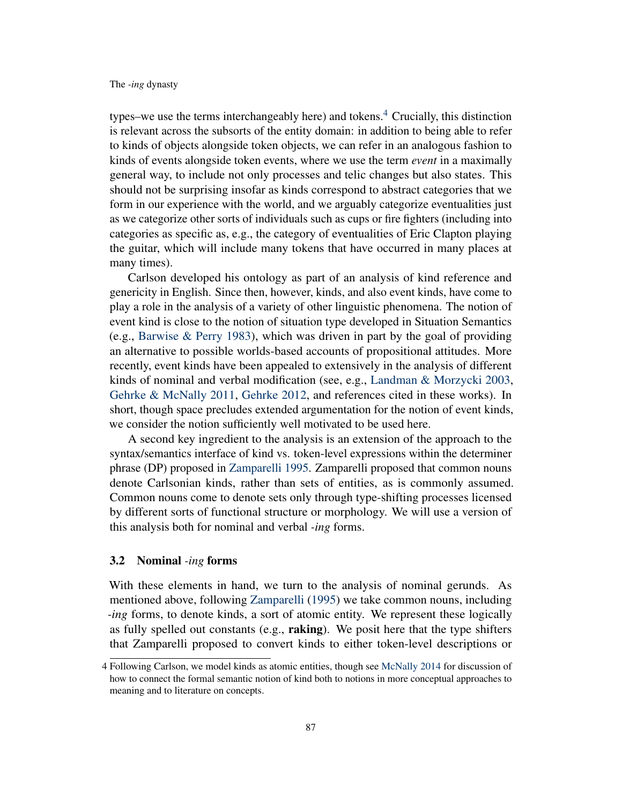types–we use the terms interchangeably here) and tokens.<sup>[4](#page-0-4)</sup> Crucially, this distinction is relevant across the subsorts of the entity domain: in addition to being able to refer to kinds of objects alongside token objects, we can refer in an analogous fashion to kinds of events alongside token events, where we use the term *event* in a maximally general way, to include not only processes and telic changes but also states. This should not be surprising insofar as kinds correspond to abstract categories that we form in our experience with the world, and we arguably categorize eventualities just as we categorize other sorts of individuals such as cups or fire fighters (including into categories as specific as, e.g., the category of eventualities of Eric Clapton playing the guitar, which will include many tokens that have occurred in many places at many times).

Carlson developed his ontology as part of an analysis of kind reference and genericity in English. Since then, however, kinds, and also event kinds, have come to play a role in the analysis of a variety of other linguistic phenomena. The notion of event kind is close to the notion of situation type developed in Situation Semantics (e.g., [Barwise & Perry](#page-17-2) [1983\)](#page-17-2), which was driven in part by the goal of providing an alternative to possible worlds-based accounts of propositional attitudes. More recently, event kinds have been appealed to extensively in the analysis of different kinds of nominal and verbal modification (see, e.g., [Landman & Morzycki](#page-19-4) [2003,](#page-19-4) [Gehrke & McNally](#page-18-4) [2011,](#page-18-4) [Gehrke](#page-18-5) [2012,](#page-18-5) and references cited in these works). In short, though space precludes extended argumentation for the notion of event kinds, we consider the notion sufficiently well motivated to be used here.

A second key ingredient to the analysis is an extension of the approach to the syntax/semantics interface of kind vs. token-level expressions within the determiner phrase (DP) proposed in [Zamparelli](#page-20-3) [1995.](#page-20-3) Zamparelli proposed that common nouns denote Carlsonian kinds, rather than sets of entities, as is commonly assumed. Common nouns come to denote sets only through type-shifting processes licensed by different sorts of functional structure or morphology. We will use a version of this analysis both for nominal and verbal *-ing* forms.

### 3.2 Nominal *-ing* forms

With these elements in hand, we turn to the analysis of nominal gerunds. As mentioned above, following [Zamparelli](#page-20-3) [\(1995\)](#page-20-3) we take common nouns, including *-ing* forms, to denote kinds, a sort of atomic entity. We represent these logically as fully spelled out constants (e.g., **raking**). We posit here that the type shifters that Zamparelli proposed to convert kinds to either token-level descriptions or

<sup>4</sup> Following Carlson, we model kinds as atomic entities, though see [McNally](#page-19-5) [2014](#page-19-5) for discussion of how to connect the formal semantic notion of kind both to notions in more conceptual approaches to meaning and to literature on concepts.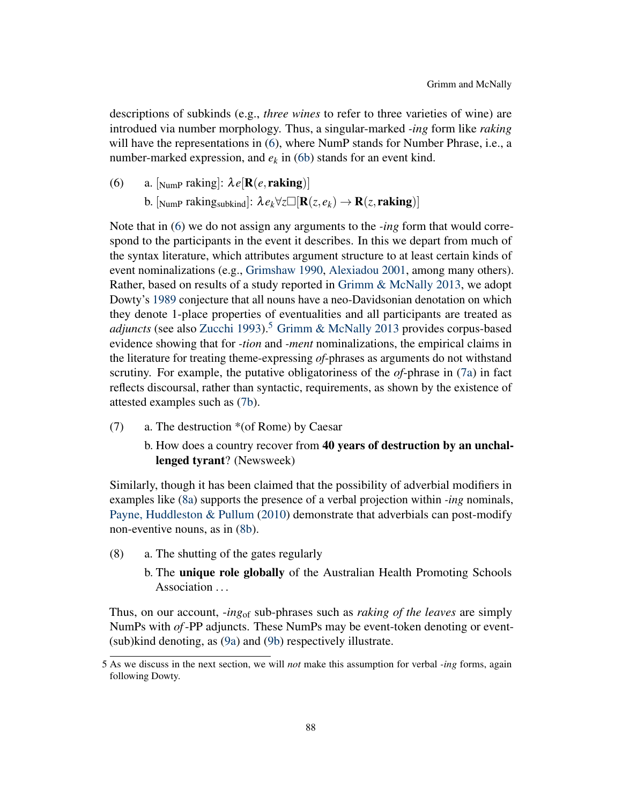descriptions of subkinds (e.g., *three wines* to refer to three varieties of wine) are introdued via number morphology. Thus, a singular-marked *-ing* form like *raking* will have the representations in [\(6\)](#page-6-0), where NumP stands for Number Phrase, i.e., a number-marked expression, and  $e_k$  in [\(6b\)](#page-6-1) stands for an event kind.

<span id="page-6-1"></span><span id="page-6-0"></span>(6) a.  $\lbrack \text{NumP} \text{ taking} \rbrack$ :  $\lambda e[\mathbf{R}(e, \mathbf{raking})]$ b.  $\left[\text{Number of the image shows } \lambda e_k \forall z \Box[\mathbf{R}(z, e_k) \rightarrow \mathbf{R}(z, \mathbf{raking})]\right]$ 

Note that in [\(6\)](#page-6-0) we do not assign any arguments to the *-ing* form that would correspond to the participants in the event it describes. In this we depart from much of the syntax literature, which attributes argument structure to at least certain kinds of event nominalizations (e.g., [Grimshaw](#page-18-6) [1990,](#page-18-6) [Alexiadou](#page-17-3) [2001,](#page-17-3) among many others). Rather, based on results of a study reported in [Grimm & McNally](#page-18-7) [2013,](#page-18-7) we adopt Dowty's [1989](#page-18-8) conjecture that all nouns have a neo-Davidsonian denotation on which they denote 1-place properties of eventualities and all participants are treated as *adjuncts* (see also [Zucchi](#page-20-2) [1993\)](#page-20-2).<sup>[5](#page-0-4)</sup> [Grimm & McNally](#page-18-7) [2013](#page-18-7) provides corpus-based evidence showing that for *-tion* and *-ment* nominalizations, the empirical claims in the literature for treating theme-expressing *of*-phrases as arguments do not withstand scrutiny. For example, the putative obligatoriness of the *of*-phrase in [\(7a\)](#page-6-2) in fact reflects discoursal, rather than syntactic, requirements, as shown by the existence of attested examples such as [\(7b\)](#page-6-3).

- <span id="page-6-3"></span><span id="page-6-2"></span>(7) a. The destruction \*(of Rome) by Caesar
	- b. How does a country recover from 40 years of destruction by an unchallenged tyrant? (Newsweek)

Similarly, though it has been claimed that the possibility of adverbial modifiers in examples like [\(8a\)](#page-6-4) supports the presence of a verbal projection within *-ing* nominals, [Payne, Huddleston & Pullum](#page-19-6) [\(2010\)](#page-19-6) demonstrate that adverbials can post-modify non-eventive nouns, as in [\(8b\)](#page-6-5).

- <span id="page-6-5"></span><span id="page-6-4"></span>(8) a. The shutting of the gates regularly
	- b. The unique role globally of the Australian Health Promoting Schools Association ...

Thus, on our account, -*ing*of sub-phrases such as *raking of the leaves* are simply NumPs with *of*-PP adjuncts. These NumPs may be event-token denoting or event- (sub)kind denoting, as [\(9a\)](#page-7-0) and [\(9b\)](#page-7-1) respectively illustrate.

<sup>5</sup> As we discuss in the next section, we will *not* make this assumption for verbal *-ing* forms, again following Dowty.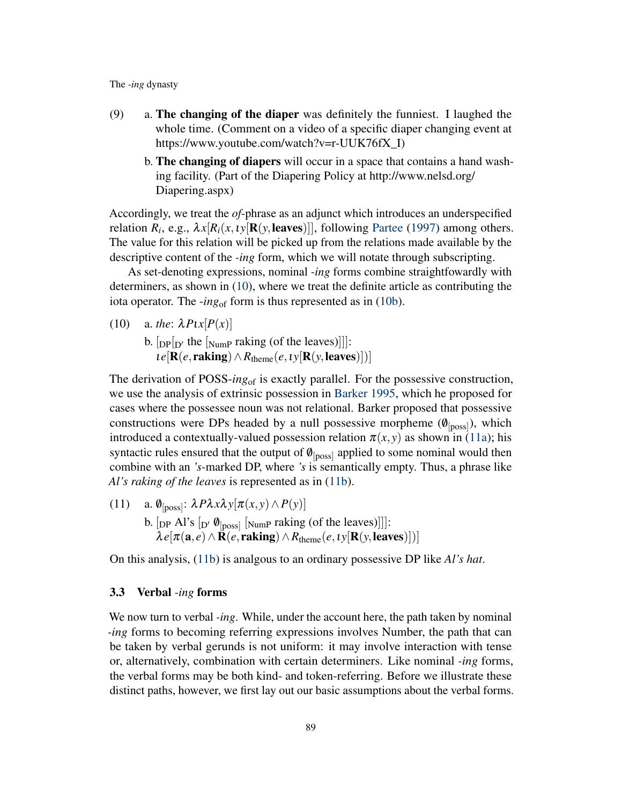- <span id="page-7-1"></span><span id="page-7-0"></span>(9) a. The changing of the diaper was definitely the funniest. I laughed the whole time. (Comment on a video of a specific diaper changing event at https://www.youtube.com/watch?v=r-UUK76fX\_I)
	- b. The changing of diapers will occur in a space that contains a hand washing facility. (Part of the Diapering Policy at http://www.nelsd.org/ Diapering.aspx)

Accordingly, we treat the *of*-phrase as an adjunct which introduces an underspecified relation  $R_i$ , e.g.,  $\lambda x[R_i(x, \iota y[\mathbf{R}(y, \text{leaves})]],$  following [Partee](#page-19-7) [\(1997\)](#page-19-7) among others. The value for this relation will be picked up from the relations made available by the descriptive content of the *-ing* form, which we will notate through subscripting.

As set-denoting expressions, nominal *-ing* forms combine straightfowardly with determiners, as shown in [\(10\)](#page-7-2), where we treat the definite article as contributing the iota operator. The *-ing*<sub>of</sub> form is thus represented as in [\(10b\)](#page-7-3).

<span id="page-7-3"></span><span id="page-7-2"></span>(10) a. *the*:  $\lambda P \iota x[P(x)]$ 

b.  $[pp]$  the  $[xv]$ <sub>Nump</sub> raking (of the leaves)]]]:  $\mathcal{L}e[\mathbf{R}(e, \mathbf{raking}) \wedge R_{\text{theme}}(e, \mathcal{L}y[\mathbf{R}(y, \mathbf{leaves})])]$ 

The derivation of POSS-*ing*of is exactly parallel. For the possessive construction, we use the analysis of extrinsic possession in [Barker](#page-17-4) [1995,](#page-17-4) which he proposed for cases where the possessee noun was not relational. Barker proposed that possessive constructions were DPs headed by a null possessive morpheme  $(\emptyset_{\text{[poss]}})$ , which introduced a contextually-valued possession relation  $\pi(x, y)$  as shown in [\(11a\)](#page-7-4); his syntactic rules ensured that the output of  $\varnothing_{\text{[poss]}}$  applied to some nominal would then combine with an *'s*-marked DP, where *'s* is semantically empty. Thus, a phrase like *Al's raking of the leaves* is represented as in [\(11b\)](#page-7-5).

<span id="page-7-5"></span><span id="page-7-4"></span>(11) a.  $\varnothing_{\text{[poss]}}$ :  $\lambda P \lambda x \lambda y[\pi(x, y) \wedge P(y)]$ b.  $[pP A]$ 's  $[p' \ \theta_{[poss]}$  [Nump raking (of the leaves)]]]:  $\lambda e[\pi(\mathbf{a}, e) \wedge \mathbf{R}(e, \mathbf{raking}) \wedge R_{\text{theme}}(e, \iota y[\mathbf{R}(y, \mathbf{leaves})])]$ 

On this analysis, [\(11b\)](#page-7-5) is analgous to an ordinary possessive DP like *Al's hat*.

### 3.3 Verbal *-ing* forms

We now turn to verbal *-ing*. While, under the account here, the path taken by nominal *-ing* forms to becoming referring expressions involves Number, the path that can be taken by verbal gerunds is not uniform: it may involve interaction with tense or, alternatively, combination with certain determiners. Like nominal *-ing* forms, the verbal forms may be both kind- and token-referring. Before we illustrate these distinct paths, however, we first lay out our basic assumptions about the verbal forms.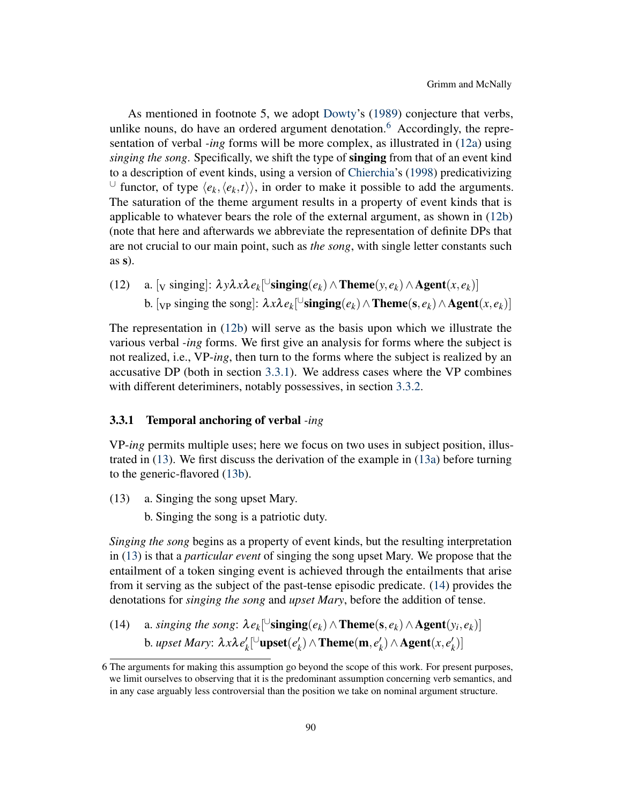As mentioned in footnote 5, we adopt [Dowty'](#page-18-8)s [\(1989\)](#page-18-8) conjecture that verbs, unlike nouns, do have an ordered argument denotation.<sup>[6](#page-0-4)</sup> Accordingly, the representation of verbal *-ing* forms will be more complex, as illustrated in [\(12a\)](#page-8-0) using *singing the song*. Specifically, we shift the type of singing from that of an event kind to a description of event kinds, using a version of [Chierchia'](#page-18-9)s [\(1998\)](#page-18-9) predicativizing ∪ functor, of type  $\langle e_k, \langle e_k, t \rangle \rangle$ , in order to make it possible to add the arguments. The saturation of the theme argument results in a property of event kinds that is applicable to whatever bears the role of the external argument, as shown in [\(12b\)](#page-8-1) (note that here and afterwards we abbreviate the representation of definite DPs that are not crucial to our main point, such as *the song*, with single letter constants such  $as s$ ).

<span id="page-8-1"></span><span id="page-8-0"></span>(12) a. [v singing]:  $\lambda y \lambda x \lambda e_k$ [ $\cup$ **singing**( $e_k$ )  $\wedge$ **Theme**( $y, e_k$ )  $\wedge$ **Agent**( $x, e_k$ )] b. [<sub>VP</sub> singing the song]:  $\lambda x \lambda e_k$ [ $\cup$ **singing** $(e_k) \wedge$ **Theme**(**s**,  $e_k$ )  $\wedge$ **Agent**(*x*,  $e_k$ )]

The representation in [\(12b\)](#page-8-1) will serve as the basis upon which we illustrate the various verbal *-ing* forms. We first give an analysis for forms where the subject is not realized, i.e., VP-*ing*, then turn to the forms where the subject is realized by an accusative DP (both in section [3.3.1\)](#page-8-2). We address cases where the VP combines with different deteriminers, notably possessives, in section [3.3.2.](#page-11-0)

### <span id="page-8-2"></span>3.3.1 Temporal anchoring of verbal *-ing*

VP-*ing* permits multiple uses; here we focus on two uses in subject position, illustrated in [\(13\)](#page-8-3). We first discuss the derivation of the example in [\(13a\)](#page-8-3) before turning to the generic-flavored [\(13b\)](#page-8-4).

- <span id="page-8-4"></span><span id="page-8-3"></span>(13) a. Singing the song upset Mary.
	- b. Singing the song is a patriotic duty.

*Singing the song* begins as a property of event kinds, but the resulting interpretation in [\(13\)](#page-8-3) is that a *particular event* of singing the song upset Mary. We propose that the entailment of a token singing event is achieved through the entailments that arise from it serving as the subject of the past-tense episodic predicate. [\(14\)](#page-8-5) provides the denotations for *singing the song* and *upset Mary*, before the addition of tense.

<span id="page-8-5"></span>(14) a. *singing the song*:  $\lambda e_k$ <sup>[∪</sup>**singing**( $e_k$ )  $\wedge$  **Theme**( $s$ ,  $e_k$ )  $\wedge$  **Agent**( $y_i$ ,  $e_k$ )] b. *upset Mary*:  $λxλe'$  $\ell_k^{\prime}$ [ $\cup$ upset $(e_k^{\prime})$  $\mathbf{z}_k^{\prime}$ )  $\wedge$  **Theme**(**m**,  $e_k^{\prime}$  $h_k$ <sup>*(x,e'<sub>k</sub>*)</sub> ∧ **Agent**(*x,e'<sub>k</sub>*)</sup>  $'_{k})]$ 

<sup>6</sup> The arguments for making this assumption go beyond the scope of this work. For present purposes, we limit ourselves to observing that it is the predominant assumption concerning verb semantics, and in any case arguably less controversial than the position we take on nominal argument structure.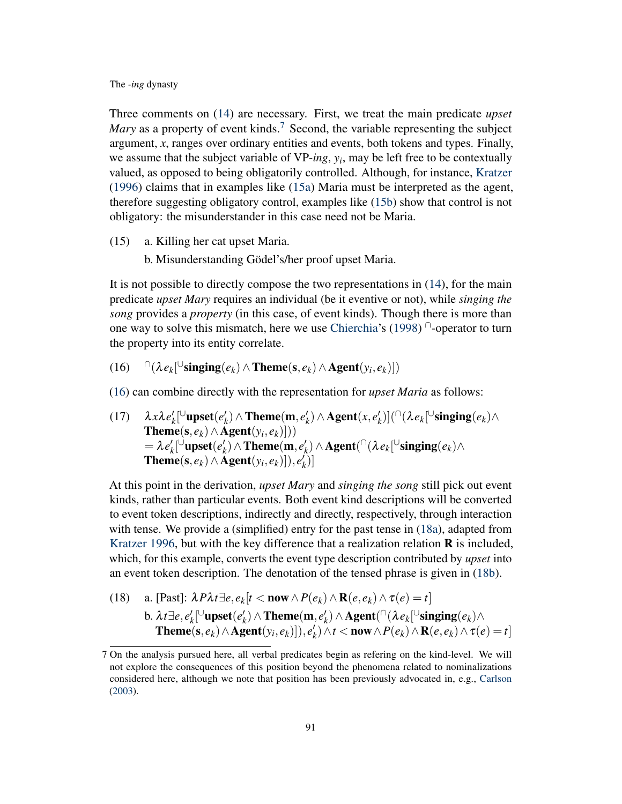Three comments on [\(14\)](#page-8-5) are necessary. First, we treat the main predicate *upset Mary* as a property of event kinds.<sup>[7](#page-0-4)</sup> Second, the variable representing the subject argument, *x*, ranges over ordinary entities and events, both tokens and types. Finally, we assume that the subject variable of VP-*ing*, *y<sup>i</sup>* , may be left free to be contextually valued, as opposed to being obligatorily controlled. Although, for instance, [Kratzer](#page-18-3) [\(1996\)](#page-18-3) claims that in examples like [\(15a\)](#page-9-0) Maria must be interpreted as the agent, therefore suggesting obligatory control, examples like [\(15b\)](#page-9-1) show that control is not obligatory: the misunderstander in this case need not be Maria.

- <span id="page-9-1"></span><span id="page-9-0"></span>(15) a. Killing her cat upset Maria.
	- b. Misunderstanding Gödel's/her proof upset Maria.

It is not possible to directly compose the two representations in [\(14\)](#page-8-5), for the main predicate *upset Mary* requires an individual (be it eventive or not), while *singing the song* provides a *property* (in this case, of event kinds). Though there is more than one way to solve this mismatch, here we use [Chierchia'](#page-18-9)s [\(1998\)](#page-18-9) $\cap$ -operator to turn the property into its entity correlate.

<span id="page-9-2"></span> $(16)$   $\bigcap (\lambda e_k [ \cup \text{singing}(e_k) \wedge \text{Theme}(s, e_k) \wedge \text{Agent}(y_i, e_k)] )$ 

[\(16\)](#page-9-2) can combine directly with the representation for *upset Maria* as follows:

(17)  $\lambda x \lambda e'_k$  $\ell_k^{\prime}$ [ $\cup$ upset $(e_k^{\prime})$  $\mathbf{z}_k^{\prime}$ )  $\wedge$  **Theme**(**m**,  $e_k^{\prime}$  $h_k$ <sup>*(x,e'<sub>k</sub>*)</sub> ∧ **Agent**(*x,e'<sub>k</sub>*)</sup>  $\binom{k}{k}$ ] $(\cap \lambda e_k$ [∪singing $(e_k)$ ∧  $\mathbf{Theme}(\mathbf{s}, e_k) \wedge \mathbf{Agent}(y_i, e_k)]))$  $= \lambda e'_k$  $\ell_k^{\prime}$   $\cup$  **upset**  $(e'_k)$  $\mathbf{F}_k'$ ) ∧ **Theme**(**m**,  $e'_k$  $\mathcal{H}_k$ ) ∧ **Agent**( $\cap$ ( $\lambda e_k$ [ $\cup$ **singing**( $e_k$ )∧  $\mathbf{Then}(\mathbf{s},e_k) \wedge \mathbf{\hat{A}} \mathbf{gent}(y_i,e_k)]), e_k^{\prime}$  $'_{k})]$ 

At this point in the derivation, *upset Mary* and *singing the song* still pick out event kinds, rather than particular events. Both event kind descriptions will be converted to event token descriptions, indirectly and directly, respectively, through interaction with tense. We provide a (simplified) entry for the past tense in [\(18a\)](#page-9-3), adapted from [Kratzer](#page-18-3) [1996,](#page-18-3) but with the key difference that a realization relation  $\bf{R}$  is included, which, for this example, converts the event type description contributed by *upset* into an event token description. The denotation of the tensed phrase is given in [\(18b\)](#page-9-4).

<span id="page-9-4"></span><span id="page-9-3"></span>(18) a. [Fast]: 
$$
\lambda P \lambda t \exists e, e_k[t \langle \text{now} \wedge P(e_k) \wedge \mathbf{R}(e, e_k) \wedge \tau(e) = t]
$$
  
b.  $\lambda t \exists e, e'_k[^{\cup} \text{upset}(e'_k) \wedge \text{Thene}(m, e'_k) \wedge \text{Agent}(^{\cap}(\lambda e_k[^{\cup} \text{singing}(e_k) \wedge \text{Thene}(s, e_k) \wedge \text{Agent}(y_i, e_k)]), e'_k) \wedge t \langle \text{now} \wedge P(e_k) \wedge \mathbf{R}(e, e_k) \wedge \tau(e) = t]$ 

<sup>7</sup> On the analysis pursued here, all verbal predicates begin as refering on the kind-level. We will not explore the consequences of this position beyond the phenomena related to nominalizations considered here, although we note that position has been previously advocated in, e.g., [Carlson](#page-17-5) [\(2003\)](#page-17-5).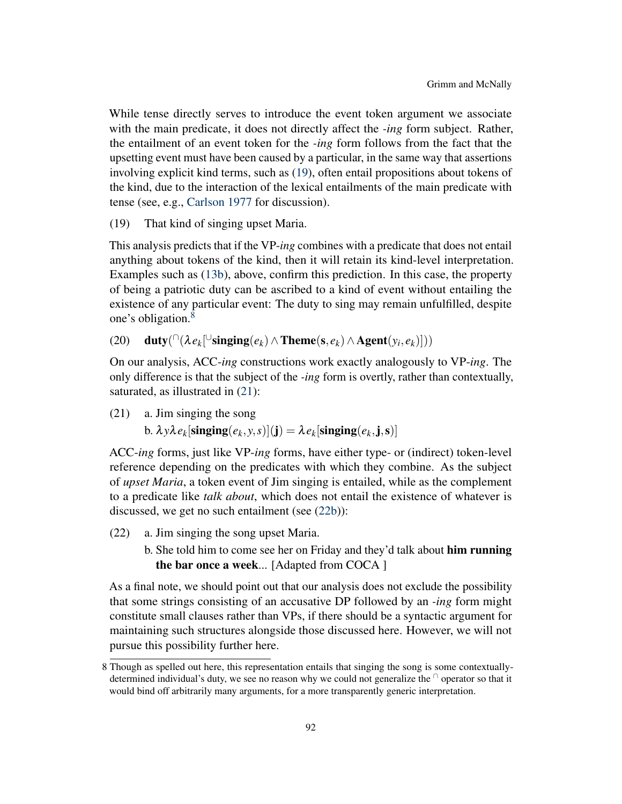While tense directly serves to introduce the event token argument we associate with the main predicate, it does not directly affect the *-ing* form subject. Rather, the entailment of an event token for the *-ing* form follows from the fact that the upsetting event must have been caused by a particular, in the same way that assertions involving explicit kind terms, such as [\(19\)](#page-10-0), often entail propositions about tokens of the kind, due to the interaction of the lexical entailments of the main predicate with tense (see, e.g., [Carlson](#page-17-1) [1977](#page-17-1) for discussion).

<span id="page-10-0"></span>(19) That kind of singing upset Maria.

This analysis predicts that if the VP-*ing* combines with a predicate that does not entail anything about tokens of the kind, then it will retain its kind-level interpretation. Examples such as [\(13b\)](#page-8-4), above, confirm this prediction. In this case, the property of being a patriotic duty can be ascribed to a kind of event without entailing the existence of any particular event: The duty to sing may remain unfulfilled, despite one's obligation.<sup>[8](#page-0-4)</sup>

(20) duty $( \bigcap (\lambda e_k [\bigcup \text{singing}(e_k) \land \text{Thene}(s, e_k) \land \text{Agent}(y_i, e_k)]))$ 

On our analysis, ACC-*ing* constructions work exactly analogously to VP-*ing*. The only difference is that the subject of the *-ing* form is overtly, rather than contextually, saturated, as illustrated in  $(21)$ :

<span id="page-10-1"></span>(21) a. Jim singing the song

b.  $\lambda$ *y* $\lambda$ *e*<sub>k</sub>[singing $(e_k, y, s)$ ](j) =  $\lambda$ *e*<sub>k</sub>[singing $(e_k, j, s)$ ]

ACC-*ing* forms, just like VP-*ing* forms, have either type- or (indirect) token-level reference depending on the predicates with which they combine. As the subject of *upset Maria*, a token event of Jim singing is entailed, while as the complement to a predicate like *talk about*, which does not entail the existence of whatever is discussed, we get no such entailment (see [\(22b\)](#page-10-2)):

- <span id="page-10-2"></span>(22) a. Jim singing the song upset Maria.
	- b. She told him to come see her on Friday and they'd talk about him running the bar once a week... [Adapted from COCA ]

As a final note, we should point out that our analysis does not exclude the possibility that some strings consisting of an accusative DP followed by an *-ing* form might constitute small clauses rather than VPs, if there should be a syntactic argument for maintaining such structures alongside those discussed here. However, we will not pursue this possibility further here.

<sup>8</sup> Though as spelled out here, this representation entails that singing the song is some contextuallydetermined individual's duty, we see no reason why we could not generalize the  $\theta$  operator so that it would bind off arbitrarily many arguments, for a more transparently generic interpretation.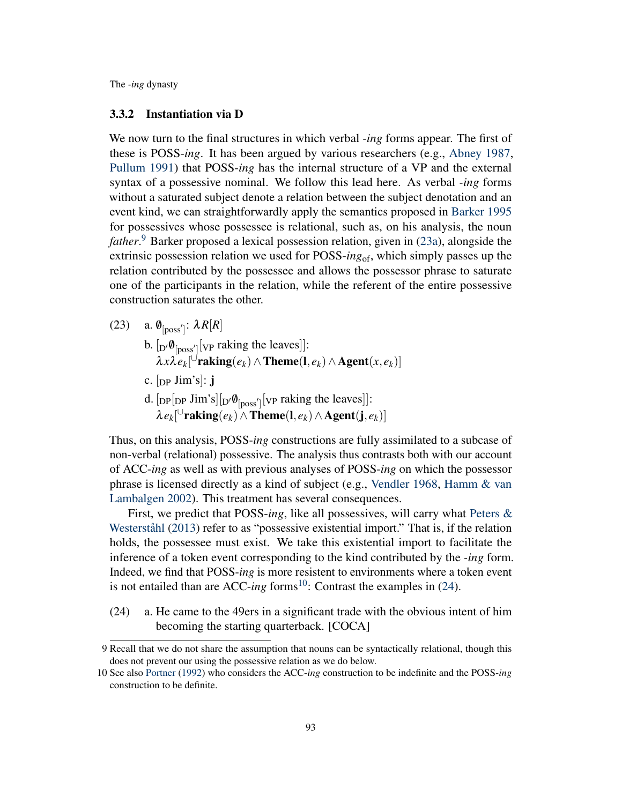### <span id="page-11-0"></span>3.3.2 Instantiation via D

We now turn to the final structures in which verbal *-ing* forms appear. The first of these is POSS-*ing*. It has been argued by various researchers (e.g., [Abney](#page-17-0) [1987,](#page-17-0) [Pullum](#page-19-8) [1991\)](#page-19-8) that POSS-*ing* has the internal structure of a VP and the external syntax of a possessive nominal. We follow this lead here. As verbal *-ing* forms without a saturated subject denote a relation between the subject denotation and an event kind, we can straightforwardly apply the semantics proposed in [Barker](#page-17-4) [1995](#page-17-4) for possessives whose possessee is relational, such as, on his analysis, the noun *father*. [9](#page-0-4) Barker proposed a lexical possession relation, given in [\(23a\)](#page-11-1), alongside the extrinsic possession relation we used for POSS-*ing*of, which simply passes up the relation contributed by the possessee and allows the possessor phrase to saturate one of the participants in the relation, while the referent of the entire possessive construction saturates the other.

<span id="page-11-1"></span>(23) a.  $\varnothing_{\text{[poss']}}$ :  $\lambda R[R]$ b.  $[p' \emptyset_{[poss']}[v_P \text{ taking the leaves}]]$ :  $\lambda x \lambda e_k$ <sup>[ $\cup$ </sup>raking $(e_k) \wedge$ Theme $(1, e_k) \wedge$ Agent $(x, e_k)$ ] c.  $[pP \text{ Jim's}]: \mathbf{j}$ d.  $[{\rm DP}[{\rm DP}]\lim_{s}^{\cdot}]$   $[{\rm NP}]\lim_{s}^{\cdot}]$  [vp raking the leaves]]:  $\lambda \, e_k$ [ $\cup$ raking $(e_k) \wedge$ Theme $(1, e_k) \wedge$ Agent $(j, e_k)$ ]

Thus, on this analysis, POSS-*ing* constructions are fully assimilated to a subcase of non-verbal (relational) possessive. The analysis thus contrasts both with our account of ACC-*ing* as well as with previous analyses of POSS-*ing* on which the possessor phrase is licensed directly as a kind of subject (e.g., [Vendler](#page-20-4) [1968,](#page-20-4) [Hamm & van](#page-18-10) [Lambalgen](#page-18-10) [2002\)](#page-18-10). This treatment has several consequences.

First, we predict that POSS-*ing*, like all possessives, will carry what [Peters &](#page-19-9) [Westerståhl](#page-19-9) [\(2013\)](#page-19-9) refer to as "possessive existential import." That is, if the relation holds, the possessee must exist. We take this existential import to facilitate the inference of a token event corresponding to the kind contributed by the *-ing* form. Indeed, we find that POSS-*ing* is more resistent to environments where a token event is not entailed than are ACC- $ing$  forms<sup>[10](#page-0-4)</sup>: Contrast the examples in  $(24)$ .

<span id="page-11-2"></span>(24) a. He came to the 49ers in a significant trade with the obvious intent of him becoming the starting quarterback. [COCA]

<sup>9</sup> Recall that we do not share the assumption that nouns can be syntactically relational, though this does not prevent our using the possessive relation as we do below.

<sup>10</sup> See also [Portner](#page-19-3) [\(1992\)](#page-19-3) who considers the ACC-*ing* construction to be indefinite and the POSS-*ing* construction to be definite.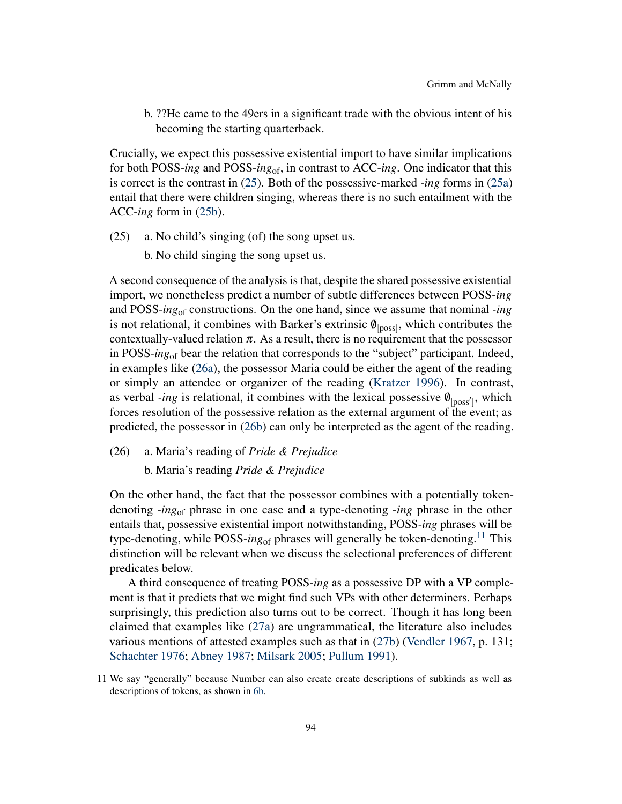b. ??He came to the 49ers in a significant trade with the obvious intent of his becoming the starting quarterback.

Crucially, we expect this possessive existential import to have similar implications for both POSS-*ing* and POSS-*ing*of, in contrast to ACC-*ing*. One indicator that this is correct is the contrast in [\(25\)](#page-12-0). Both of the possessive-marked *-ing* forms in [\(25a\)](#page-12-0) entail that there were children singing, whereas there is no such entailment with the ACC-*ing* form in [\(25b\)](#page-12-1).

- <span id="page-12-1"></span><span id="page-12-0"></span>(25) a. No child's singing (of) the song upset us.
	- b. No child singing the song upset us.

A second consequence of the analysis is that, despite the shared possessive existential import, we nonetheless predict a number of subtle differences between POSS-*ing* and POSS-*ing*of constructions. On the one hand, since we assume that nominal *-ing* is not relational, it combines with Barker's extrinsic  $\phi_{\text{[poss]}}$ , which contributes the contextually-valued relation  $\pi$ . As a result, there is no requirement that the possessor in POSS-*ing*of bear the relation that corresponds to the "subject" participant. Indeed, in examples like [\(26a\)](#page-12-2), the possessor Maria could be either the agent of the reading or simply an attendee or organizer of the reading [\(Kratzer](#page-18-3) [1996\)](#page-18-3). In contrast, as verbal *-ing* is relational, it combines with the lexical possessive  $\varnothing_{\text{[poss']}}$ , which forces resolution of the possessive relation as the external argument of the event; as predicted, the possessor in [\(26b\)](#page-12-3) can only be interpreted as the agent of the reading.

<span id="page-12-3"></span><span id="page-12-2"></span>(26) a. Maria's reading of *Pride & Prejudice*

b. Maria's reading *Pride & Prejudice*

On the other hand, the fact that the possessor combines with a potentially tokendenoting -*ing*of phrase in one case and a type-denoting -*ing* phrase in the other entails that, possessive existential import notwithstanding, POSS-*ing* phrases will be type-denoting, while POSS-*ing*<sub>of</sub> phrases will generally be token-denoting.<sup>[11](#page-0-4)</sup> This distinction will be relevant when we discuss the selectional preferences of different predicates below.

A third consequence of treating POSS-*ing* as a possessive DP with a VP complement is that it predicts that we might find such VPs with other determiners. Perhaps surprisingly, this prediction also turns out to be correct. Though it has long been claimed that examples like [\(27a\)](#page-13-0) are ungrammatical, the literature also includes various mentions of attested examples such as that in [\(27b\)](#page-13-1) [\(Vendler](#page-20-0) [1967,](#page-20-0) p. 131; [Schachter](#page-19-10) [1976;](#page-19-10) [Abney](#page-17-0) [1987;](#page-17-0) [Milsark](#page-19-11) [2005;](#page-19-11) [Pullum](#page-19-8) [1991\)](#page-19-8).

<sup>11</sup> We say "generally" because Number can also create create descriptions of subkinds as well as descriptions of tokens, as shown in [6b.](#page-6-1)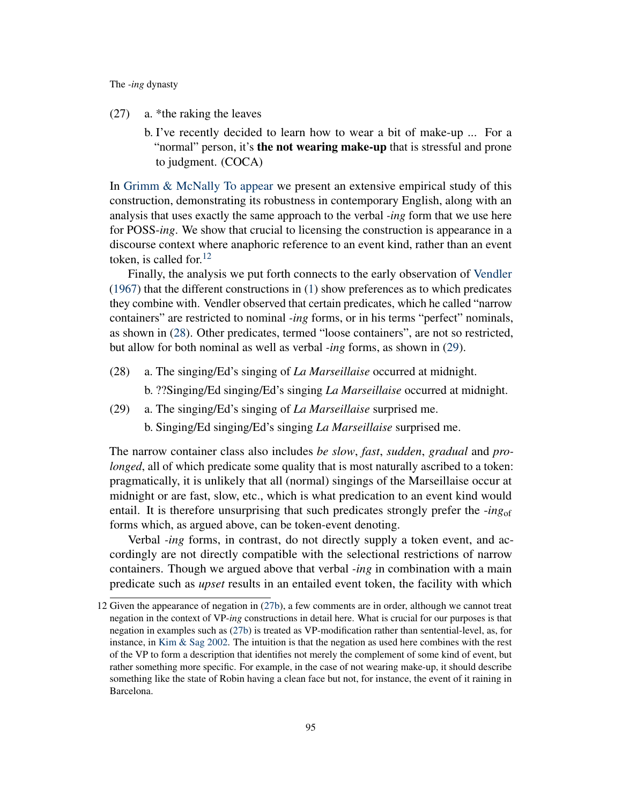- <span id="page-13-1"></span><span id="page-13-0"></span>(27) a. \*the raking the leaves
	- b. I've recently decided to learn how to wear a bit of make-up ... For a "normal" person, it's **the not wearing make-up** that is stressful and prone to judgment. (COCA)

In [Grimm & McNally](#page-18-11) [To appear](#page-18-11) we present an extensive empirical study of this construction, demonstrating its robustness in contemporary English, along with an analysis that uses exactly the same approach to the verbal *-ing* form that we use here for POSS-*ing*. We show that crucial to licensing the construction is appearance in a discourse context where anaphoric reference to an event kind, rather than an event token, is called for.  $12$ 

Finally, the analysis we put forth connects to the early observation of [Vendler](#page-20-0) [\(1967\)](#page-20-0) that the different constructions in [\(1\)](#page-0-0) show preferences as to which predicates they combine with. Vendler observed that certain predicates, which he called "narrow containers" are restricted to nominal *-ing* forms, or in his terms "perfect" nominals, as shown in [\(28\)](#page-13-2). Other predicates, termed "loose containers", are not so restricted, but allow for both nominal as well as verbal *-ing* forms, as shown in [\(29\)](#page-13-3).

<span id="page-13-2"></span>(28) a. The singing/Ed's singing of *La Marseillaise* occurred at midnight.

b. ??Singing/Ed singing/Ed's singing *La Marseillaise* occurred at midnight.

- <span id="page-13-3"></span>(29) a. The singing/Ed's singing of *La Marseillaise* surprised me.
	- b. Singing/Ed singing/Ed's singing *La Marseillaise* surprised me.

The narrow container class also includes *be slow*, *fast*, *sudden*, *gradual* and *prolonged*, all of which predicate some quality that is most naturally ascribed to a token: pragmatically, it is unlikely that all (normal) singings of the Marseillaise occur at midnight or are fast, slow, etc., which is what predication to an event kind would entail. It is therefore unsurprising that such predicates strongly prefer the -*ing*of forms which, as argued above, can be token-event denoting.

Verbal *-ing* forms, in contrast, do not directly supply a token event, and accordingly are not directly compatible with the selectional restrictions of narrow containers. Though we argued above that verbal *-ing* in combination with a main predicate such as *upset* results in an entailed event token, the facility with which

<sup>12</sup> Given the appearance of negation in [\(27b\)](#page-13-1), a few comments are in order, although we cannot treat negation in the context of VP-*ing* constructions in detail here. What is crucial for our purposes is that negation in examples such as [\(27b\)](#page-13-1) is treated as VP-modification rather than sentential-level, as, for instance, in [Kim & Sag](#page-18-12) [2002.](#page-18-12) The intuition is that the negation as used here combines with the rest of the VP to form a description that identifies not merely the complement of some kind of event, but rather something more specific. For example, in the case of not wearing make-up, it should describe something like the state of Robin having a clean face but not, for instance, the event of it raining in Barcelona.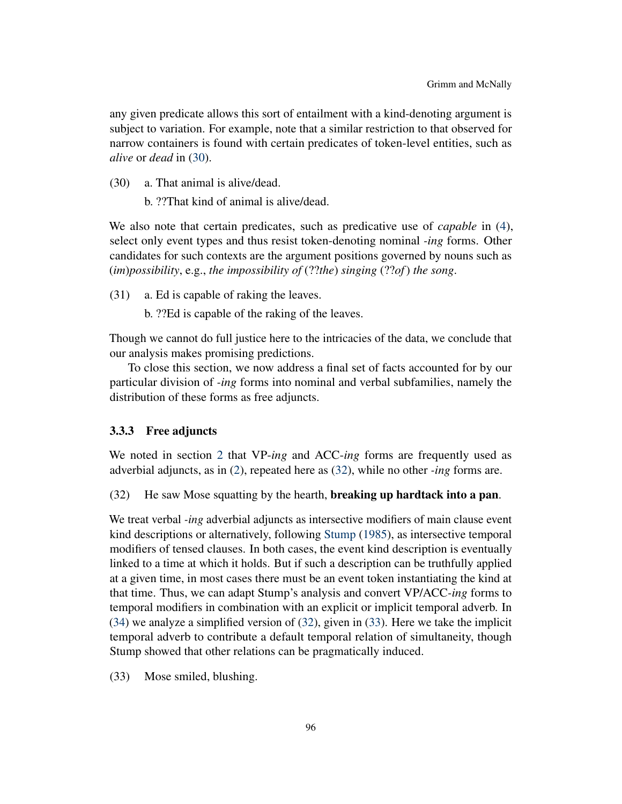any given predicate allows this sort of entailment with a kind-denoting argument is subject to variation. For example, note that a similar restriction to that observed for narrow containers is found with certain predicates of token-level entities, such as *alive* or *dead* in [\(30\)](#page-14-0).

<span id="page-14-0"></span>(30) a. That animal is alive/dead.

b. ??That kind of animal is alive/dead.

We also note that certain predicates, such as predicative use of *capable* in [\(4\)](#page-3-1), select only event types and thus resist token-denoting nominal *-ing* forms. Other candidates for such contexts are the argument positions governed by nouns such as (*im*)*possibility*, e.g., *the impossibility of* (??*the*) *singing* (??*of*) *the song*.

(31) a. Ed is capable of raking the leaves.

b. ??Ed is capable of the raking of the leaves.

Though we cannot do full justice here to the intricacies of the data, we conclude that our analysis makes promising predictions.

To close this section, we now address a final set of facts accounted for by our particular division of *-ing* forms into nominal and verbal subfamilies, namely the distribution of these forms as free adjuncts.

### 3.3.3 Free adjuncts

We noted in section [2](#page-2-0) that VP-*ing* and ACC-*ing* forms are frequently used as adverbial adjuncts, as in [\(2\)](#page-2-1), repeated here as [\(32\)](#page-14-1), while no other *-ing* forms are.

<span id="page-14-1"></span>(32) He saw Mose squatting by the hearth, breaking up hardtack into a pan.

We treat verbal *-ing* adverbial adjuncts as intersective modifiers of main clause event kind descriptions or alternatively, following [Stump](#page-19-12) [\(1985\)](#page-19-12), as intersective temporal modifiers of tensed clauses. In both cases, the event kind description is eventually linked to a time at which it holds. But if such a description can be truthfully applied at a given time, in most cases there must be an event token instantiating the kind at that time. Thus, we can adapt Stump's analysis and convert VP/ACC*-ing* forms to temporal modifiers in combination with an explicit or implicit temporal adverb. In [\(34\)](#page-15-1) we analyze a simplified version of [\(32\)](#page-14-1), given in [\(33\)](#page-14-2). Here we take the implicit temporal adverb to contribute a default temporal relation of simultaneity, though Stump showed that other relations can be pragmatically induced.

<span id="page-14-2"></span>(33) Mose smiled, blushing.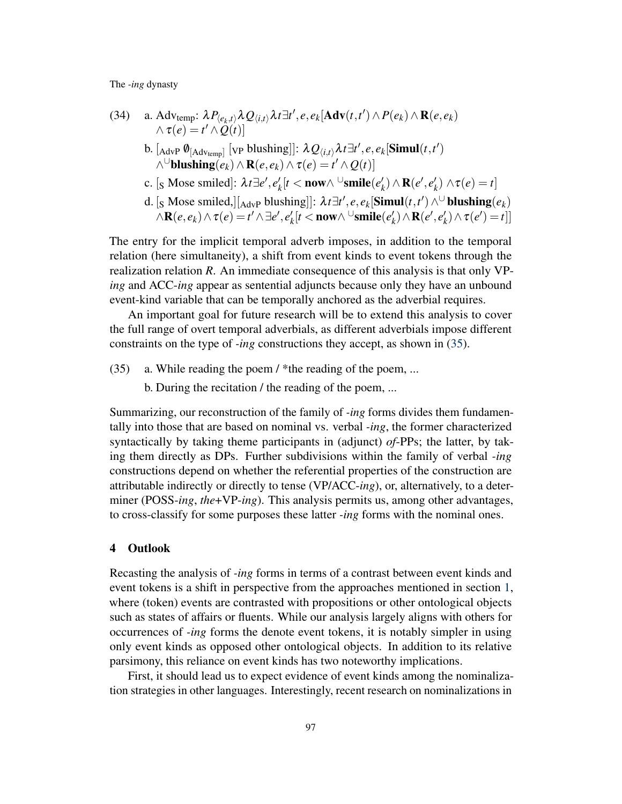<span id="page-15-1"></span>(34) a. Advtemp: 
$$
\lambda P_{\langle e_k, t \rangle} \lambda Q_{\langle i, t \rangle} \lambda t \exists t', e, e_k [\mathbf{Adv}(t, t') \wedge P(e_k) \wedge \mathbf{R}(e, e_k)
$$
  
\n $\wedge \tau(e) = t' \wedge Q(t)]$   
\nb. [ $_{\text{Adv}} \emptyset_{[\text{Adv}_{\text{temp}}]} [\text{vp blushing}]]: \lambda Q_{\langle i, t \rangle} \lambda t \exists t', e, e_k [\mathbf{Simul}(t, t')$   
\n $\wedge \text{Ublushing}(e_k) \wedge \mathbf{R}(e, e_k) \wedge \tau(e) = t' \wedge Q(t)]$   
\nc. [<sub>S</sub> Mose smiled]:  $\lambda t \exists e', e'_k [t < \text{now} \wedge \text{Usmile}(e'_k) \wedge \mathbf{R}(e', e'_k) \wedge \tau(e) = t]$   
\nd. [<sub>S</sub> Mose smiled,][ $_{\text{Adv}} \text{blushing}]]: \lambda t \exists t', e, e_k [\mathbf{Simul}(t, t') \wedge \text{Ublushing}(e_k) \wedge \mathbf{R}(e, e_k) \wedge \tau(e) = t' \wedge \exists e', e'_k [t < \text{now} \wedge \text{Usmile}(e'_k) \wedge \mathbf{R}(e', e'_k) \wedge \tau(e') = t]]$ 

The entry for the implicit temporal adverb imposes, in addition to the temporal relation (here simultaneity), a shift from event kinds to event tokens through the realization relation *R*. An immediate consequence of this analysis is that only VP*ing* and ACC-*ing* appear as sentential adjuncts because only they have an unbound

An important goal for future research will be to extend this analysis to cover the full range of overt temporal adverbials, as different adverbials impose different constraints on the type of *-ing* constructions they accept, as shown in [\(35\)](#page-15-2).

event-kind variable that can be temporally anchored as the adverbial requires.

<span id="page-15-2"></span>(35) a. While reading the poem / \*the reading of the poem, ...

b. During the recitation / the reading of the poem, ...

Summarizing, our reconstruction of the family of *-ing* forms divides them fundamentally into those that are based on nominal vs. verbal *-ing*, the former characterized syntactically by taking theme participants in (adjunct) *of*-PPs; the latter, by taking them directly as DPs. Further subdivisions within the family of verbal *-ing* constructions depend on whether the referential properties of the construction are attributable indirectly or directly to tense (VP/ACC-*ing*), or, alternatively, to a determiner (POSS-*ing*, *the*+VP-*ing*). This analysis permits us, among other advantages, to cross-classify for some purposes these latter *-ing* forms with the nominal ones.

### <span id="page-15-0"></span>4 Outlook

Recasting the analysis of *-ing* forms in terms of a contrast between event kinds and event tokens is a shift in perspective from the approaches mentioned in section [1,](#page-0-6) where (token) events are contrasted with propositions or other ontological objects such as states of affairs or fluents. While our analysis largely aligns with others for occurrences of *-ing* forms the denote event tokens, it is notably simpler in using only event kinds as opposed other ontological objects. In addition to its relative parsimony, this reliance on event kinds has two noteworthy implications.

First, it should lead us to expect evidence of event kinds among the nominalization strategies in other languages. Interestingly, recent research on nominalizations in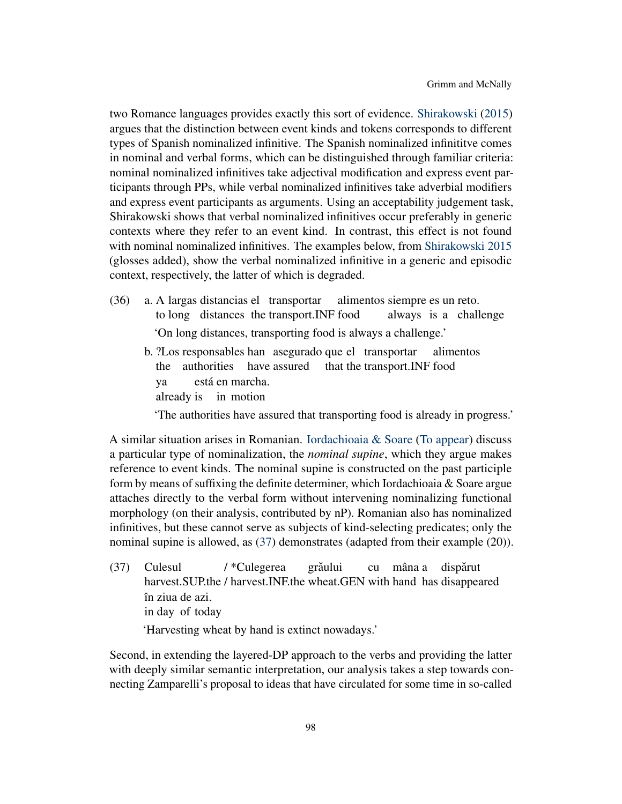two Romance languages provides exactly this sort of evidence. [Shirakowski](#page-19-13) [\(2015\)](#page-19-13) argues that the distinction between event kinds and tokens corresponds to different types of Spanish nominalized infinitive. The Spanish nominalized infinititve comes in nominal and verbal forms, which can be distinguished through familiar criteria: nominal nominalized infinitives take adjectival modification and express event participants through PPs, while verbal nominalized infinitives take adverbial modifiers and express event participants as arguments. Using an acceptability judgement task, Shirakowski shows that verbal nominalized infinitives occur preferably in generic contexts where they refer to an event kind. In contrast, this effect is not found with nominal nominalized infinitives. The examples below, from [Shirakowski](#page-19-13) [2015](#page-19-13) (glosses added), show the verbal nominalized infinitive in a generic and episodic context, respectively, the latter of which is degraded.

- (36) a. A largas distancias el transportar to long distances the transport.INF food alimentos siempre es un reto. always is a challenge 'On long distances, transporting food is always a challenge.'
	- b. ?Los responsables han asegurado que el transportar the authorities have assured that the transport.INF food alimentos ya already is in motion está en marcha.

'The authorities have assured that transporting food is already in progress.'

A similar situation arises in Romanian. [Iordachioaia & Soare](#page-18-13) [\(To appear\)](#page-18-13) discuss a particular type of nominalization, the *nominal supine*, which they argue makes reference to event kinds. The nominal supine is constructed on the past participle form by means of suffixing the definite determiner, which Iordachioaia & Soare argue attaches directly to the verbal form without intervening nominalizing functional morphology (on their analysis, contributed by nP). Romanian also has nominalized infinitives, but these cannot serve as subjects of kind-selecting predicates; only the nominal supine is allowed, as [\(37\)](#page-16-0) demonstrates (adapted from their example (20)).

<span id="page-16-0"></span>(37) Culesul harvest.SUP.the / harvest.INF.the wheat.GEN with hand has disappeared / \*Culegerea grăului cu mâna a dispărut în ziua de azi. in day of today

'Harvesting wheat by hand is extinct nowadays.'

Second, in extending the layered-DP approach to the verbs and providing the latter with deeply similar semantic interpretation, our analysis takes a step towards connecting Zamparelli's proposal to ideas that have circulated for some time in so-called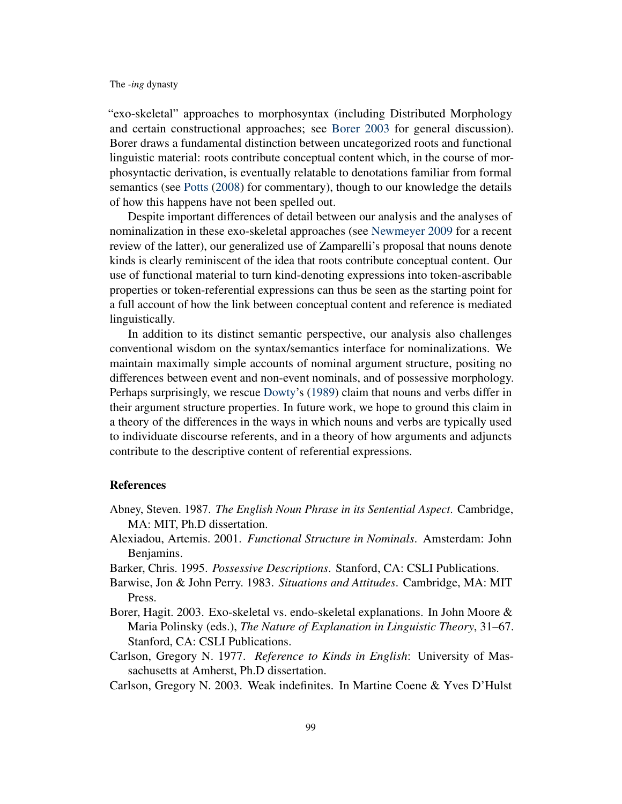"exo-skeletal" approaches to morphosyntax (including Distributed Morphology and certain constructional approaches; see [Borer](#page-17-6) [2003](#page-17-6) for general discussion). Borer draws a fundamental distinction between uncategorized roots and functional linguistic material: roots contribute conceptual content which, in the course of morphosyntactic derivation, is eventually relatable to denotations familiar from formal semantics (see [Potts](#page-19-14) [\(2008\)](#page-19-14) for commentary), though to our knowledge the details of how this happens have not been spelled out.

Despite important differences of detail between our analysis and the analyses of nominalization in these exo-skeletal approaches (see [Newmeyer](#page-19-15) [2009](#page-19-15) for a recent review of the latter), our generalized use of Zamparelli's proposal that nouns denote kinds is clearly reminiscent of the idea that roots contribute conceptual content. Our use of functional material to turn kind-denoting expressions into token-ascribable properties or token-referential expressions can thus be seen as the starting point for a full account of how the link between conceptual content and reference is mediated linguistically.

In addition to its distinct semantic perspective, our analysis also challenges conventional wisdom on the syntax/semantics interface for nominalizations. We maintain maximally simple accounts of nominal argument structure, positing no differences between event and non-event nominals, and of possessive morphology. Perhaps surprisingly, we rescue [Dowty'](#page-18-8)s [\(1989\)](#page-18-8) claim that nouns and verbs differ in their argument structure properties. In future work, we hope to ground this claim in a theory of the differences in the ways in which nouns and verbs are typically used to individuate discourse referents, and in a theory of how arguments and adjuncts contribute to the descriptive content of referential expressions.

### References

- <span id="page-17-0"></span>Abney, Steven. 1987. *The English Noun Phrase in its Sentential Aspect*. Cambridge, MA: MIT, Ph.D dissertation.
- <span id="page-17-3"></span>Alexiadou, Artemis. 2001. *Functional Structure in Nominals*. Amsterdam: John Benjamins.
- <span id="page-17-4"></span>Barker, Chris. 1995. *Possessive Descriptions*. Stanford, CA: CSLI Publications.
- <span id="page-17-2"></span>Barwise, Jon & John Perry. 1983. *Situations and Attitudes*. Cambridge, MA: MIT Press.
- <span id="page-17-6"></span>Borer, Hagit. 2003. Exo-skeletal vs. endo-skeletal explanations. In John Moore & Maria Polinsky (eds.), *The Nature of Explanation in Linguistic Theory*, 31–67. Stanford, CA: CSLI Publications.
- <span id="page-17-1"></span>Carlson, Gregory N. 1977. *Reference to Kinds in English*: University of Massachusetts at Amherst, Ph.D dissertation.
- <span id="page-17-5"></span>Carlson, Gregory N. 2003. Weak indefinites. In Martine Coene & Yves D'Hulst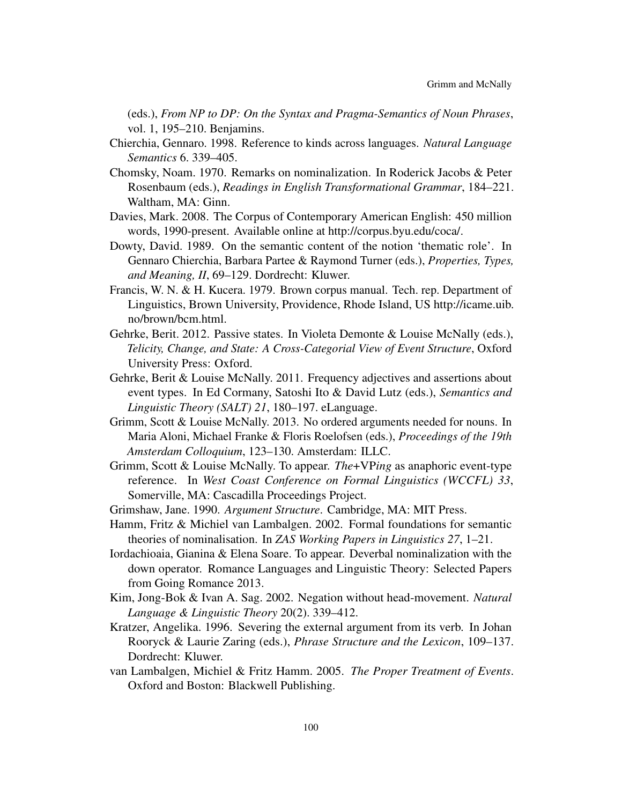(eds.), *From NP to DP: On the Syntax and Pragma-Semantics of Noun Phrases*, vol. 1, 195–210. Benjamins.

- <span id="page-18-9"></span>Chierchia, Gennaro. 1998. Reference to kinds across languages. *Natural Language Semantics* 6. 339–405.
- <span id="page-18-0"></span>Chomsky, Noam. 1970. Remarks on nominalization. In Roderick Jacobs & Peter Rosenbaum (eds.), *Readings in English Transformational Grammar*, 184–221. Waltham, MA: Ginn.
- Davies, Mark. 2008. The Corpus of Contemporary American English: 450 million words, 1990-present. Available online at http://corpus.byu.edu/coca/.
- <span id="page-18-8"></span>Dowty, David. 1989. On the semantic content of the notion 'thematic role'. In Gennaro Chierchia, Barbara Partee & Raymond Turner (eds.), *Properties, Types, and Meaning, II*, 69–129. Dordrecht: Kluwer.
- <span id="page-18-2"></span>Francis, W. N. & H. Kucera. 1979. Brown corpus manual. Tech. rep. Department of Linguistics, Brown University, Providence, Rhode Island, US http://icame.uib. no/brown/bcm.html.
- <span id="page-18-5"></span>Gehrke, Berit. 2012. Passive states. In Violeta Demonte & Louise McNally (eds.), *Telicity, Change, and State: A Cross-Categorial View of Event Structure*, Oxford University Press: Oxford.
- <span id="page-18-4"></span>Gehrke, Berit & Louise McNally. 2011. Frequency adjectives and assertions about event types. In Ed Cormany, Satoshi Ito & David Lutz (eds.), *Semantics and Linguistic Theory (SALT) 21*, 180–197. eLanguage.
- <span id="page-18-7"></span>Grimm, Scott & Louise McNally. 2013. No ordered arguments needed for nouns. In Maria Aloni, Michael Franke & Floris Roelofsen (eds.), *Proceedings of the 19th Amsterdam Colloquium*, 123–130. Amsterdam: ILLC.
- <span id="page-18-11"></span>Grimm, Scott & Louise McNally. To appear. *The*+VP*ing* as anaphoric event-type reference. In *West Coast Conference on Formal Linguistics (WCCFL) 33*, Somerville, MA: Cascadilla Proceedings Project.
- <span id="page-18-6"></span>Grimshaw, Jane. 1990. *Argument Structure*. Cambridge, MA: MIT Press.
- <span id="page-18-10"></span>Hamm, Fritz & Michiel van Lambalgen. 2002. Formal foundations for semantic theories of nominalisation. In *ZAS Working Papers in Linguistics 27*, 1–21.
- <span id="page-18-13"></span>Iordachioaia, Gianina & Elena Soare. To appear. Deverbal nominalization with the down operator. Romance Languages and Linguistic Theory: Selected Papers from Going Romance 2013.
- <span id="page-18-12"></span>Kim, Jong-Bok & Ivan A. Sag. 2002. Negation without head-movement. *Natural Language & Linguistic Theory* 20(2). 339–412.
- <span id="page-18-3"></span>Kratzer, Angelika. 1996. Severing the external argument from its verb. In Johan Rooryck & Laurie Zaring (eds.), *Phrase Structure and the Lexicon*, 109–137. Dordrecht: Kluwer.
- <span id="page-18-1"></span>van Lambalgen, Michiel & Fritz Hamm. 2005. *The Proper Treatment of Events*. Oxford and Boston: Blackwell Publishing.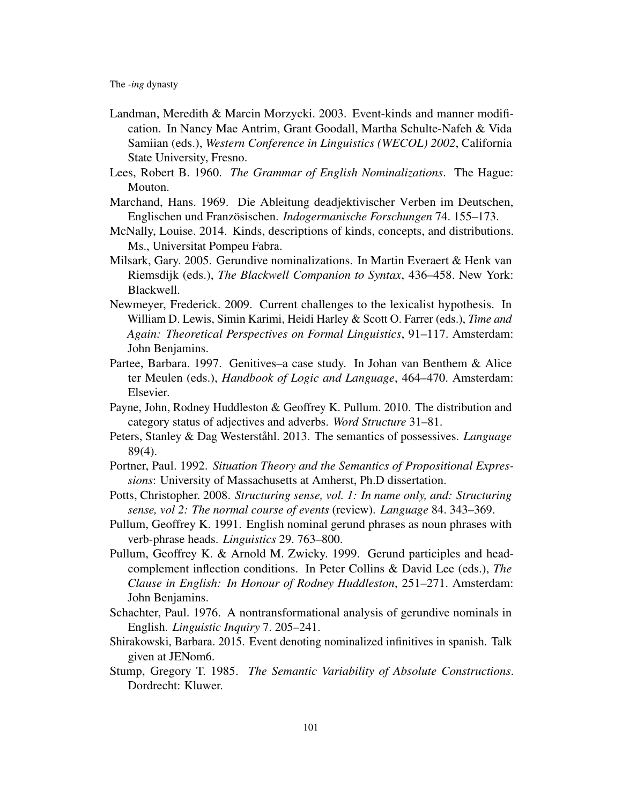- <span id="page-19-4"></span>Landman, Meredith & Marcin Morzycki. 2003. Event-kinds and manner modification. In Nancy Mae Antrim, Grant Goodall, Martha Schulte-Nafeh & Vida Samiian (eds.), *Western Conference in Linguistics (WECOL) 2002*, California State University, Fresno.
- <span id="page-19-0"></span>Lees, Robert B. 1960. *The Grammar of English Nominalizations*. The Hague: Mouton.
- <span id="page-19-1"></span>Marchand, Hans. 1969. Die Ableitung deadjektivischer Verben im Deutschen, Englischen und Französischen. *Indogermanische Forschungen* 74. 155–173.
- <span id="page-19-5"></span>McNally, Louise. 2014. Kinds, descriptions of kinds, concepts, and distributions. Ms., Universitat Pompeu Fabra.
- <span id="page-19-11"></span>Milsark, Gary. 2005. Gerundive nominalizations. In Martin Everaert & Henk van Riemsdijk (eds.), *The Blackwell Companion to Syntax*, 436–458. New York: Blackwell.
- <span id="page-19-15"></span>Newmeyer, Frederick. 2009. Current challenges to the lexicalist hypothesis. In William D. Lewis, Simin Karimi, Heidi Harley & Scott O. Farrer (eds.), *Time and Again: Theoretical Perspectives on Formal Linguistics*, 91–117. Amsterdam: John Benjamins.
- <span id="page-19-7"></span>Partee, Barbara. 1997. Genitives–a case study. In Johan van Benthem & Alice ter Meulen (eds.), *Handbook of Logic and Language*, 464–470. Amsterdam: Elsevier.
- <span id="page-19-6"></span>Payne, John, Rodney Huddleston & Geoffrey K. Pullum. 2010. The distribution and category status of adjectives and adverbs. *Word Structure* 31–81.
- <span id="page-19-9"></span>Peters, Stanley & Dag Westerståhl. 2013. The semantics of possessives. *Language* 89(4).
- <span id="page-19-3"></span>Portner, Paul. 1992. *Situation Theory and the Semantics of Propositional Expressions*: University of Massachusetts at Amherst, Ph.D dissertation.
- <span id="page-19-14"></span>Potts, Christopher. 2008. *Structuring sense, vol. 1: In name only, and: Structuring sense, vol 2: The normal course of events* (review). *Language* 84. 343–369.
- <span id="page-19-8"></span>Pullum, Geoffrey K. 1991. English nominal gerund phrases as noun phrases with verb-phrase heads. *Linguistics* 29. 763–800.
- <span id="page-19-2"></span>Pullum, Geoffrey K. & Arnold M. Zwicky. 1999. Gerund participles and headcomplement inflection conditions. In Peter Collins & David Lee (eds.), *The Clause in English: In Honour of Rodney Huddleston*, 251–271. Amsterdam: John Benjamins.
- <span id="page-19-10"></span>Schachter, Paul. 1976. A nontransformational analysis of gerundive nominals in English. *Linguistic Inquiry* 7. 205–241.
- <span id="page-19-13"></span>Shirakowski, Barbara. 2015. Event denoting nominalized infinitives in spanish. Talk given at JENom6.
- <span id="page-19-12"></span>Stump, Gregory T. 1985. *The Semantic Variability of Absolute Constructions*. Dordrecht: Kluwer.